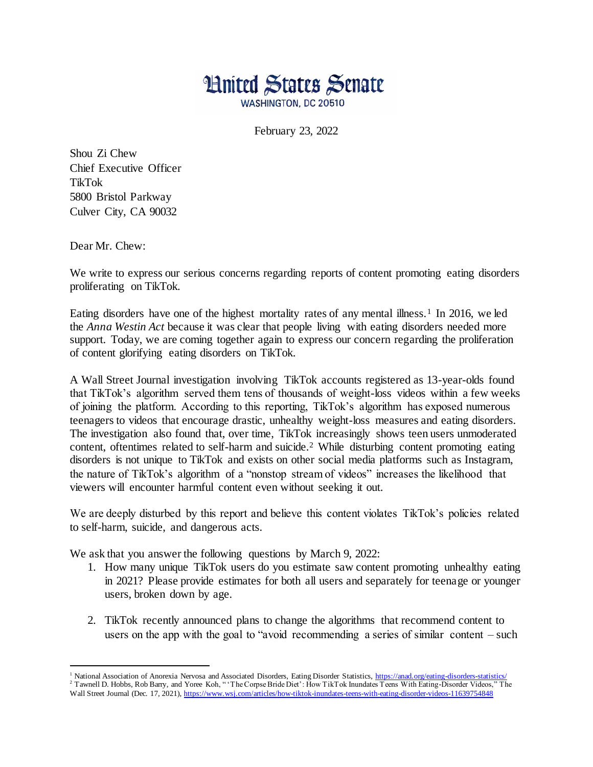

February 23, 2022

Shou Zi Chew Chief Executive Officer TikTok 5800 Bristol Parkway Culver City, CA 90032

Dear Mr. Chew:

We write to express our serious concerns regarding reports of content promoting eating disorders proliferating on TikTok.

Eating disorders have one of the highest mortality rates of any mental illness.<sup>1</sup> In 2016, we led the *Anna Westin Act* because it was clear that people living with eating disorders needed more support. Today, we are coming together again to express our concern regarding the proliferation of content glorifying eating disorders on TikTok.

A Wall Street Journal investigation involving TikTok accounts registered as 13-year-olds found that TikTok's algorithm served them tens of thousands of weight-loss videos within a few weeks of joining the platform. According to this reporting, TikTok's algorithm has exposed numerous teenagers to videos that encourage drastic, unhealthy weight-loss measures and eating disorders. The investigation also found that, over time, TikTok increasingly shows teen users unmoderated content, oftentimes related to self-harm and suicide.<sup>2</sup> While disturbing content promoting eating disorders is not unique to TikTok and exists on other social media platforms such as Instagram, the nature of TikTok's algorithm of a "nonstop stream of videos" increases the likelihood that viewers will encounter harmful content even without seeking it out.

We are deeply disturbed by this report and believe this content violates TikTok's policies related to self-harm, suicide, and dangerous acts.

We ask that you answer the following questions by March 9, 2022:

- 1. How many unique TikTok users do you estimate saw content promoting unhealthy eating in 2021? Please provide estimates for both all users and separately for teenage or younger users, broken down by age.
- 2. TikTok recently announced plans to change the algorithms that recommend content to users on the app with the goal to "avoid recommending a series of similar content – such

I <sup>1</sup> National Association of Anorexia Nervosa and Associated Disorders, Eating Disorder Statistics[, https://anad.org/eating-disorders-statistics/](https://anad.org/eating-disorders-statistics/) <sup>2</sup> Tawnell D. Hobbs, Rob Barry, and Yoree Koh, " 'The Corpse Bride Diet': How TikTok Inundates Teens With Eating-Disorder Videos," The

Wall Street Journal (Dec. 17, 2021),<https://www.wsj.com/articles/how-tiktok-inundates-teens-with-eating-disorder-videos-11639754848>